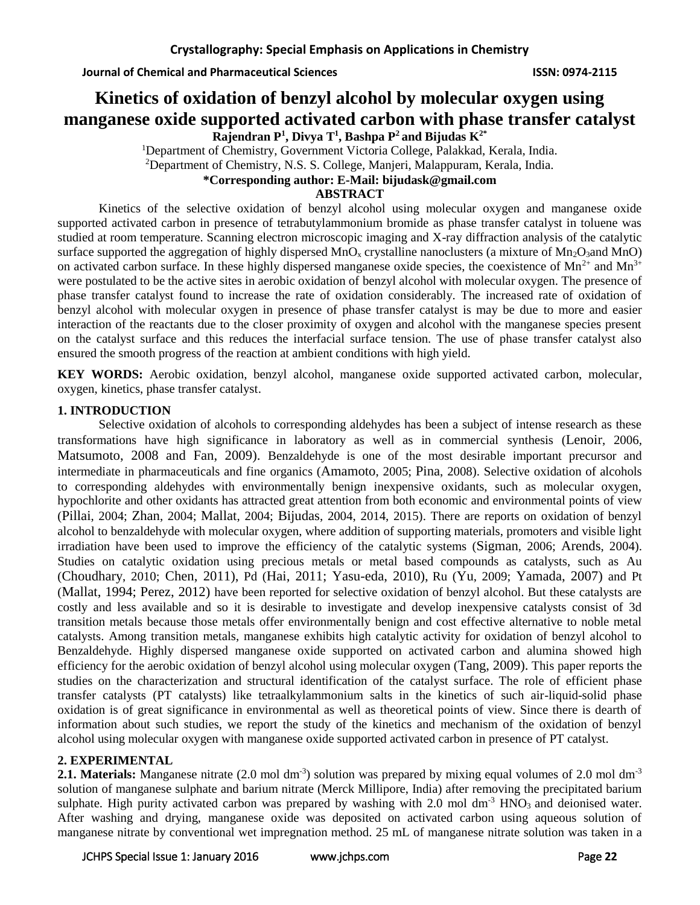# **Kinetics of oxidation of benzyl alcohol by molecular oxygen using manganese oxide supported activated carbon with phase transfer catalyst**

**Rajendran P<sup>1</sup> , Divya T<sup>1</sup> , Bashpa P<sup>2</sup>and Bijudas K2\*** <sup>1</sup>Department of Chemistry, Government Victoria College, Palakkad, Kerala, India. <sup>2</sup>Department of Chemistry, N.S. S. College, Manjeri, Malappuram, Kerala, India. **\*Corresponding author: E-Mail: bijudask@gmail.com**

# **ABSTRACT**

Kinetics of the selective oxidation of benzyl alcohol using molecular oxygen and manganese oxide supported activated carbon in presence of tetrabutylammonium bromide as phase transfer catalyst in toluene was studied at room temperature. Scanning electron microscopic imaging and X-ray diffraction analysis of the catalytic surface supported the aggregation of highly dispersed MnO<sub>x</sub> crystalline nanoclusters (a mixture of Mn<sub>2</sub>O<sub>3</sub>and MnO) on activated carbon surface. In these highly dispersed manganese oxide species, the coexistence of  $Mn^{2+}$  and  $Mn^{3+}$ were postulated to be the active sites in aerobic oxidation of benzyl alcohol with molecular oxygen. The presence of phase transfer catalyst found to increase the rate of oxidation considerably. The increased rate of oxidation of benzyl alcohol with molecular oxygen in presence of phase transfer catalyst is may be due to more and easier interaction of the reactants due to the closer proximity of oxygen and alcohol with the manganese species present on the catalyst surface and this reduces the interfacial surface tension. The use of phase transfer catalyst also ensured the smooth progress of the reaction at ambient conditions with high yield.

**KEY WORDS:** Aerobic oxidation, benzyl alcohol, manganese oxide supported activated carbon, molecular, oxygen, kinetics, phase transfer catalyst.

# **1. INTRODUCTION**

Selective oxidation of alcohols to corresponding aldehydes has been a subject of intense research as these transformations have high significance in laboratory as well as in commercial synthesis (Lenoir, 2006, Matsumoto, 2008 and Fan, 2009). Benzaldehyde is one of the most desirable important precursor and intermediate in pharmaceuticals and fine organics (Amamoto, 2005; Pina, 2008). Selective oxidation of alcohols to corresponding aldehydes with environmentally benign inexpensive oxidants, such as molecular oxygen, hypochlorite and other oxidants has attracted great attention from both economic and environmental points of view (Pillai, 2004; Zhan, 2004; Mallat, 2004; Bijudas, 2004, 2014, 2015). There are reports on oxidation of benzyl alcohol to benzaldehyde with molecular oxygen, where addition of supporting materials, promoters and visible light irradiation have been used to improve the efficiency of the catalytic systems (Sigman, 2006; Arends, 2004). Studies on catalytic oxidation using precious metals or metal based compounds as catalysts, such as Au (Choudhary, 2010; Chen, 2011), Pd (Hai, 2011; Yasu-eda, 2010), Ru (Yu, 2009; Yamada, 2007) and Pt (Mallat, 1994; Perez, 2012) have been reported for selective oxidation of benzyl alcohol. But these catalysts are costly and less available and so it is desirable to investigate and develop inexpensive catalysts consist of 3d transition metals because those metals offer environmentally benign and cost effective alternative to noble metal catalysts. Among transition metals, manganese exhibits high catalytic activity for oxidation of benzyl alcohol to Benzaldehyde. Highly dispersed manganese oxide supported on activated carbon and alumina showed high efficiency for the aerobic oxidation of benzyl alcohol using molecular oxygen (Tang, 2009). This paper reports the studies on the characterization and structural identification of the catalyst surface. The role of efficient phase transfer catalysts (PT catalysts) like tetraalkylammonium salts in the kinetics of such air-liquid-solid phase oxidation is of great significance in environmental as well as theoretical points of view. Since there is dearth of information about such studies, we report the study of the kinetics and mechanism of the oxidation of benzyl alcohol using molecular oxygen with manganese oxide supported activated carbon in presence of PT catalyst.

# **2. EXPERIMENTAL**

**2.1. Materials:** Manganese nitrate (2.0 mol dm<sup>-3</sup>) solution was prepared by mixing equal volumes of 2.0 mol dm<sup>-3</sup> solution of manganese sulphate and barium nitrate (Merck Millipore, India) after removing the precipitated barium sulphate. High purity activated carbon was prepared by washing with  $2.0$  mol dm<sup>-3</sup> HNO<sub>3</sub> and deionised water. After washing and drying, manganese oxide was deposited on activated carbon using aqueous solution of manganese nitrate by conventional wet impregnation method. 25 mL of manganese nitrate solution was taken in a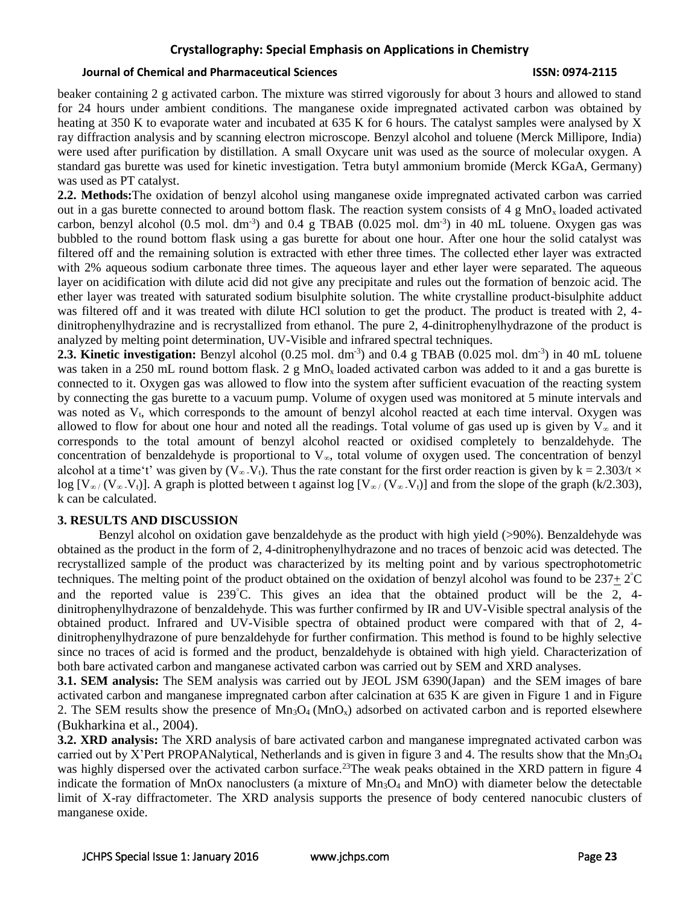#### **Journal of Chemical and Pharmaceutical Sciences ISSN: 0974-2115**

beaker containing 2 g activated carbon. The mixture was stirred vigorously for about 3 hours and allowed to stand for 24 hours under ambient conditions. The manganese oxide impregnated activated carbon was obtained by heating at 350 K to evaporate water and incubated at 635 K for 6 hours. The catalyst samples were analysed by X ray diffraction analysis and by scanning electron microscope. Benzyl alcohol and toluene (Merck Millipore, India) were used after purification by distillation. A small Oxycare unit was used as the source of molecular oxygen. A standard gas burette was used for kinetic investigation. Tetra butyl ammonium bromide (Merck KGaA, Germany) was used as PT catalyst.

**2.2. Methods:**The oxidation of benzyl alcohol using manganese oxide impregnated activated carbon was carried out in a gas burette connected to around bottom flask. The reaction system consists of 4 g  $MnO<sub>x</sub>$  loaded activated carbon, benzyl alcohol  $(0.5 \text{ mol. dm}^{-3})$  and  $0.4 \text{ g}$  TBAB  $(0.025 \text{ mol. dm}^{-3})$  in 40 mL toluene. Oxygen gas was bubbled to the round bottom flask using a gas burette for about one hour. After one hour the solid catalyst was filtered off and the remaining solution is extracted with ether three times. The collected ether layer was extracted with 2% aqueous sodium carbonate three times. The aqueous layer and ether layer were separated. The aqueous layer on acidification with dilute acid did not give any precipitate and rules out the formation of benzoic acid. The ether layer was treated with saturated sodium bisulphite solution. The white crystalline product-bisulphite adduct was filtered off and it was treated with dilute HCl solution to get the product. The product is treated with 2, 4dinitrophenylhydrazine and is recrystallized from ethanol. The pure 2, 4-dinitrophenylhydrazone of the product is analyzed by melting point determination, UV-Visible and infrared spectral techniques.

**2.3. Kinetic investigation:** Benzyl alcohol (0.25 mol. dm<sup>-3</sup>) and 0.4 g TBAB (0.025 mol. dm<sup>-3</sup>) in 40 mL toluene was taken in a 250 mL round bottom flask. 2 g MnO<sub>x</sub> loaded activated carbon was added to it and a gas burette is connected to it. Oxygen gas was allowed to flow into the system after sufficient evacuation of the reacting system by connecting the gas burette to a vacuum pump. Volume of oxygen used was monitored at 5 minute intervals and was noted as V<sub>t</sub>, which corresponds to the amount of benzyl alcohol reacted at each time interval. Oxygen was allowed to flow for about one hour and noted all the readings. Total volume of gas used up is given by  $V_{\infty}$  and it corresponds to the total amount of benzyl alcohol reacted or oxidised completely to benzaldehyde. The concentration of benzaldehyde is proportional to V∞, total volume of oxygen used. The concentration of benzyl alcohol at a time't' was given by  $(\overline{V}_{\infty}.V_t)$ . Thus the rate constant for the first order reaction is given by k = 2.303/t × log  $[V_{\infty}/(V_{\infty}, V_t)]$ . A graph is plotted between t against log  $[V_{\infty}/(V_{\infty}, V_t)]$  and from the slope of the graph (k/2.303), k can be calculated.

### **3. RESULTS AND DISCUSSION**

Benzyl alcohol on oxidation gave benzaldehyde as the product with high yield (>90%). Benzaldehyde was obtained as the product in the form of 2, 4-dinitrophenylhydrazone and no traces of benzoic acid was detected. The recrystallized sample of the product was characterized by its melting point and by various spectrophotometric techniques. The melting point of the product obtained on the oxidation of benzyl alcohol was found to be  $237 \pm 2^{\circ}$ C and the reported value is 239C. This gives an idea that the obtained product will be the 2, 4 dinitrophenylhydrazone of benzaldehyde. This was further confirmed by IR and UV-Visible spectral analysis of the obtained product. Infrared and UV-Visible spectra of obtained product were compared with that of 2, 4 dinitrophenylhydrazone of pure benzaldehyde for further confirmation. This method is found to be highly selective since no traces of acid is formed and the product, benzaldehyde is obtained with high yield. Characterization of both bare activated carbon and manganese activated carbon was carried out by SEM and XRD analyses.

**3.1. SEM analysis:** The SEM analysis was carried out by JEOL JSM 6390(Japan) and the SEM images of bare activated carbon and manganese impregnated carbon after calcination at 635 K are given in Figure 1 and in Figure 2. The SEM results show the presence of  $Mn_3O_4 (MnO_x)$  adsorbed on activated carbon and is reported elsewhere (Bukharkina et al., 2004).

**3.2. XRD analysis:** The XRD analysis of bare activated carbon and manganese impregnated activated carbon was carried out by X'Pert PROPANalytical, Netherlands and is given in figure 3 and 4. The results show that the  $Mn_3O_4$ was highly dispersed over the activated carbon surface.<sup>23</sup>The weak peaks obtained in the XRD pattern in figure 4 indicate the formation of MnOx nanoclusters (a mixture of  $Mn_3O_4$  and MnO) with diameter below the detectable limit of X-ray diffractometer. The XRD analysis supports the presence of body centered nanocubic clusters of manganese oxide.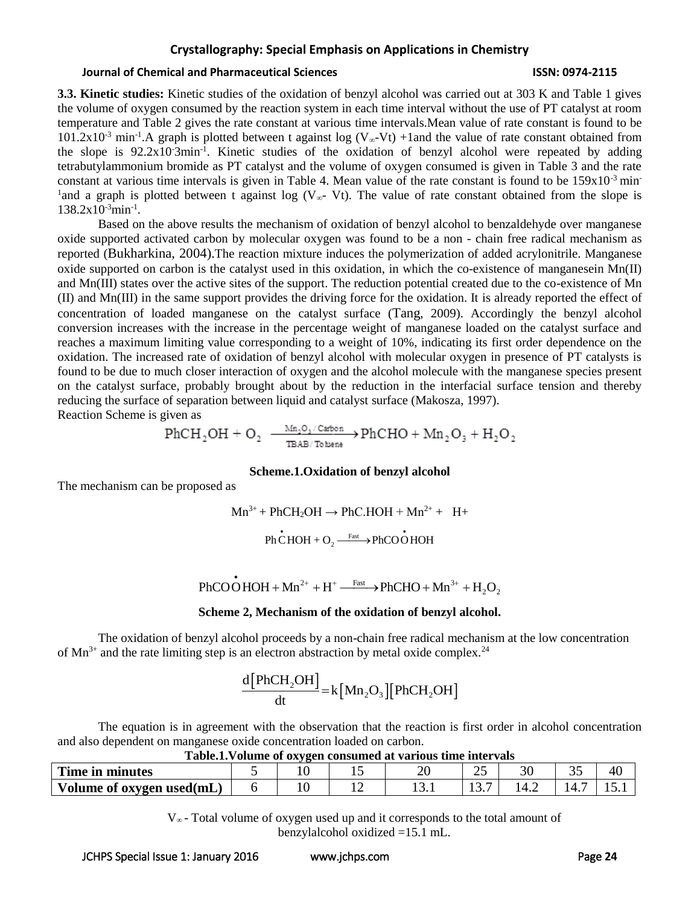### **Journal of Chemical and Pharmaceutical Sciences ISSN: 0974-2115**

**3.3. Kinetic studies:** Kinetic studies of the oxidation of benzyl alcohol was carried out at 303 K and Table 1 gives the volume of oxygen consumed by the reaction system in each time interval without the use of PT catalyst at room temperature and Table 2 gives the rate constant at various time intervals.Mean value of rate constant is found to be 101.2x10<sup>-3</sup> min<sup>-1</sup>.A graph is plotted between t against log (V<sub>∞</sub>-Vt) +1and the value of rate constant obtained from the slope is 92.2x10<sup>-3</sup>min<sup>-1</sup>. Kinetic studies of the oxidation of benzyl alcohol were repeated by adding tetrabutylammonium bromide as PT catalyst and the volume of oxygen consumed is given in Table 3 and the rate constant at various time intervals is given in Table 4. Mean value of the rate constant is found to be  $159x10^{-3}$  min-<sup>1</sup> and a graph is plotted between t against log (V<sub>∞</sub>- Vt). The value of rate constant obtained from the slope is 138.2x10-3min-1 .

Based on the above results the mechanism of oxidation of benzyl alcohol to benzaldehyde over manganese oxide supported activated carbon by molecular oxygen was found to be a non - chain free radical mechanism as reported (Bukharkina, 2004).The reaction mixture induces the polymerization of added acrylonitrile. Manganese oxide supported on carbon is the catalyst used in this oxidation, in which the co-existence of manganesein  $Mn(II)$ and Mn(III) states over the active sites of the support. The reduction potential created due to the co-existence of Mn (II) and Mn(III) in the same support provides the driving force for the oxidation. It is already reported the effect of concentration of loaded manganese on the catalyst surface (Tang, 2009). Accordingly the benzyl alcohol conversion increases with the increase in the percentage weight of manganese loaded on the catalyst surface and reaches a maximum limiting value corresponding to a weight of 10%, indicating its first order dependence on the oxidation. The increased rate of oxidation of benzyl alcohol with molecular oxygen in presence of PT catalysts is found to be due to much closer interaction of oxygen and the alcohol molecule with the manganese species present on the catalyst surface, probably brought about by the reduction in the interfacial surface tension and thereby reducing the surface of separation between liquid and catalyst surface (Makosza, 1997).

Reaction Scheme is given as

$$
\text{PhCH}_2\text{OH} + \text{O}_2 \ \xrightarrow[\text{TBAB/Tobene}]{\text{Mn}_2\text{O}_3/\text{Catbon}} \text{PhCHO} + \text{Mn}_2\text{O}_3 + \text{H}_2\text{O}_2
$$

### **Scheme.1.Oxidation of benzyl alcohol**

The mechanism can be proposed as

$$
Mn^{3+} + PhCH_2OH \rightarrow PhC.HOH + Mn^{2+} + H+
$$

 $\cdot$ Ph CHOH + O<sub>2</sub>  $\stackrel{\text{Fast}}{\xrightarrow{\text{Fast}}}$  PhCOOHOH  $\xrightarrow{\text{Fast}}$ 

$$
\mathbf{PhCOOHOH} + \mathbf{Mn}^{2+} + \mathbf{H}^+ \xrightarrow{\text{Fast}} \mathbf{PhCHO} + \mathbf{Mn}^{3+} + \mathbf{H}_2\mathbf{O}_2
$$

### **Scheme 2, Mechanism of the oxidation of benzyl alcohol.**

The oxidation of benzyl alcohol proceeds by a non-chain free radical mechanism at the low concentration of  $Mn^{3+}$  and the rate limiting step is an electron abstraction by metal oxide complex.<sup>24</sup>

$$
\frac{d[PhCH_2OH]}{dt} = k[Mn_2O_3][PhCH_2OH]
$$

The equation is in agreement with the observation that the reaction is first order in alcohol concentration and also dependent on manganese oxide concentration loaded on carbon.

| Table.1. Volume of oxygen consumed at various time intervals |  |  |  |  |    |  |  |    |  |  |
|--------------------------------------------------------------|--|--|--|--|----|--|--|----|--|--|
| Time in minutes                                              |  |  |  |  | ۷. |  |  | 40 |  |  |
| Volume of oxygen used(mL)                                    |  |  |  |  |    |  |  |    |  |  |

V∞ - Total volume of oxygen used up and it corresponds to the total amount of benzylalcohol oxidized =15.1 mL.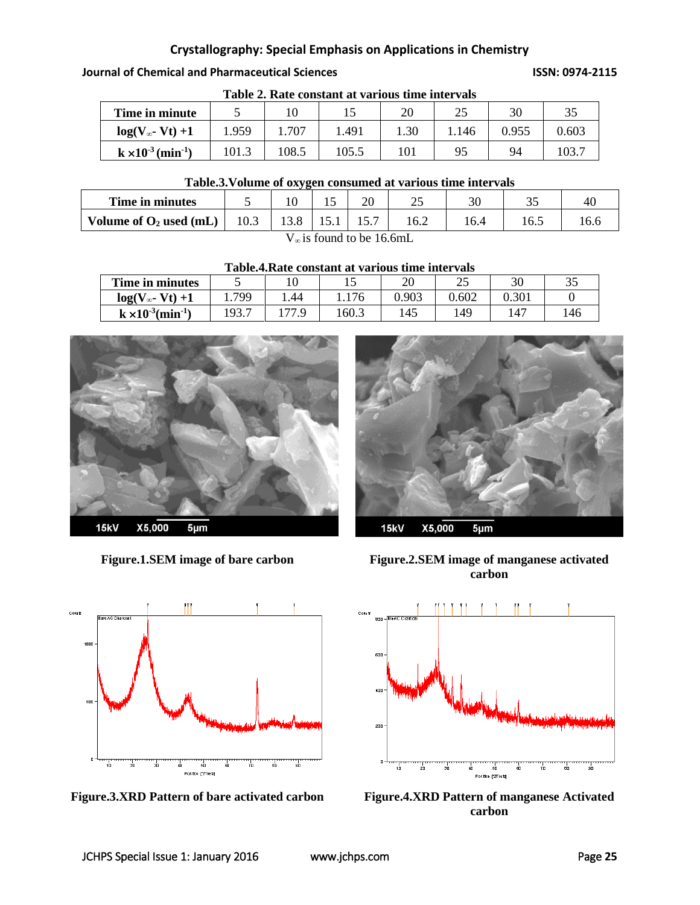**Journal of Chemical and Pharmaceutical Sciences ISSN: 0974-2115**

| Time in minute                          |       |       |       | 20   | つよ<br>ت ک | 30    | 35    |
|-----------------------------------------|-------|-------|-------|------|-----------|-------|-------|
| $log(V_{\infty}$ - Vt) +1               | 1.959 | 1.707 | 1.491 | 1.30 | .146      | 0.955 | 0.603 |
| $k \times 10^{-3}$ (min <sup>-1</sup> ) | 101.3 | 108.5 | 105.5 | 101  | 95        | 94    | 103.7 |

**Table 2. Rate constant at various time intervals**

# **Table.3.Volume of oxygen consumed at various time intervals**

| Time in minutes           |      |  |      |  | ىدىك | $\overline{\phantom{a}}$ | $\sim$<br>ັ | <b>4</b> |
|---------------------------|------|--|------|--|------|--------------------------|-------------|----------|
| Volume of $O_2$ used (mL) | 10.3 |  | 19.1 |  | 16.2 |                          | 1 v.J       |          |
| .                         |      |  |      |  |      |                          |             |          |

 $V_{\infty}$  is found to be 16.6mL

**Table.4.Rate constant at various time intervals**

| Time in minutes                         |       |       |       | 20    | າ ເ<br>ل | 30    | ັ |
|-----------------------------------------|-------|-------|-------|-------|----------|-------|---|
| $log(V_{\infty}$ - Vt) +1               | 799   | .44   | 1.176 | 0.903 | 0.602    | 0.301 |   |
| $k \times 10^{-3}$ (min <sup>-1</sup> ) | 193.7 | 177 Q | 160.3 | 145   | 149      | $14-$ |   |





**Figure.3.XRD Pattern of bare activated carbon Figure.4.XRD Pattern of manganese Activated** 







**carbon**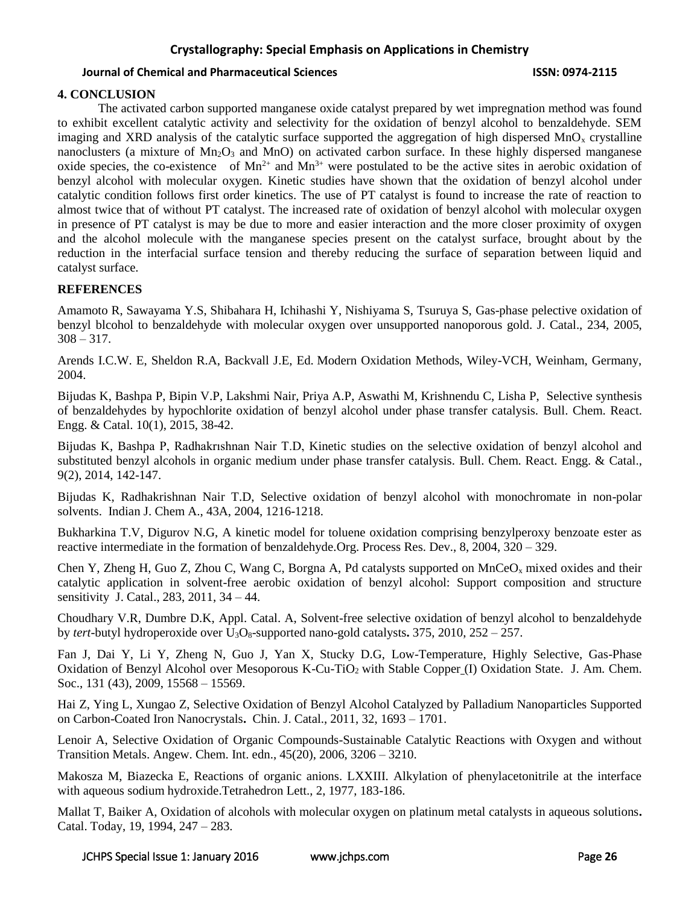### **Journal of Chemical and Pharmaceutical Sciences ISSN: 0974-2115**

# **4. CONCLUSION**

The activated carbon supported manganese oxide catalyst prepared by wet impregnation method was found to exhibit excellent catalytic activity and selectivity for the oxidation of benzyl alcohol to benzaldehyde. SEM imaging and XRD analysis of the catalytic surface supported the aggregation of high dispersed  $MnO<sub>x</sub>$  crystalline nanoclusters (a mixture of  $Mn_2O_3$  and MnO) on activated carbon surface. In these highly dispersed manganese oxide species, the co-existence of  $Mn^{2+}$  and  $Mn^{3+}$  were postulated to be the active sites in aerobic oxidation of benzyl alcohol with molecular oxygen. Kinetic studies have shown that the oxidation of benzyl alcohol under catalytic condition follows first order kinetics. The use of PT catalyst is found to increase the rate of reaction to almost twice that of without PT catalyst. The increased rate of oxidation of benzyl alcohol with molecular oxygen in presence of PT catalyst is may be due to more and easier interaction and the more closer proximity of oxygen and the alcohol molecule with the manganese species present on the catalyst surface, brought about by the reduction in the interfacial surface tension and thereby reducing the surface of separation between liquid and catalyst surface.

# **REFERENCES**

Amamoto R, Sawayama Y.S, Shibahara H, Ichihashi Y, Nishiyama S, Tsuruya S, Gas-phase pelective oxidation of benzyl blcohol to benzaldehyde with molecular oxygen over unsupported nanoporous gold. J. Catal., 234, 2005,  $308 - 317.$ 

Arends I.C.W. E, Sheldon R.A, Backvall J.E, Ed. Modern Oxidation Methods, Wiley-VCH, Weinham, Germany, 2004.

Bijudas K, Bashpa P, Bipin V.P, Lakshmi Nair, Priya A.P, Aswathi M, Krishnendu C, Lisha P, Selective synthesis of benzaldehydes by hypochlorite oxidation of benzyl alcohol under phase transfer catalysis. Bull. Chem. React. Engg. & Catal. 10(1), 2015, 38-42.

Bijudas K, Bashpa P, Radhakrıshnan Nair T.D, Kinetic studies on the selective oxidation of benzyl alcohol and substituted benzyl alcohols in organic medium under phase transfer catalysis. Bull. Chem. React. Engg. & Catal., 9(2), 2014, 142-147.

Bijudas K, Radhakrishnan Nair T.D, Selective oxidation of benzyl alcohol with monochromate in non-polar solvents. Indian J. Chem A., 43A, 2004, 1216-1218.

Bukharkina T.V, Digurov N.G, A kinetic model for toluene oxidation comprising benzylperoxy benzoate ester as reactive intermediate in the formation of benzaldehyde.Org. Process Res. Dev., 8, 2004, 320 – 329.

Chen Y, Zheng H, Guo Z, Zhou C, Wang C, Borgna A, Pd catalysts supported on  $MnCeO<sub>x</sub>$  mixed oxides and their [catalytic application in solvent-free aerobic oxidation of benzyl alcohol: Support composition and structure](http://www.sciencedirect.com/science/article/pii/S0021951711002077)  [sensitivity](http://www.sciencedirect.com/science/article/pii/S0021951711002077) J. Catal., 283, 2011, 34 – 44.

Choudhary V.R, Dumbre D.K, Appl. Catal. A, [Solvent-free selective oxidation of benzyl alcohol to benzaldehyde](http://www.sciencedirect.com/science/article/pii/S0926860X10000293)  by *tert*-butyl hydroperoxide over U3O8[-supported nano-gold catalysts](http://www.sciencedirect.com/science/article/pii/S0926860X10000293)**.** 375, 2010, 252 – 257.

Fan J, Dai Y, Li Y, Zheng N, Guo J, Yan X, Stucky D.G, [Low-Temperature, Highly Selective, Gas-Phase](http://pubs.acs.org/doi/abs/10.1021/ja9032499)  [Oxidation of Benzyl Alcohol over Mesoporous K-Cu-TiO](http://pubs.acs.org/doi/abs/10.1021/ja9032499)<sub>2</sub> with Stable Copper (I) Oxidation State. J. Am. Chem. Soc., 131 (43), 2009, 15568 – 15569.

Hai Z, Ying L, Xungao Z, [Selective Oxidation of Benzyl Alcohol Catalyzed by Palladium Nanoparticles Supported](http://www.sciencedirect.com/science/article/pii/S1872206710602732)  [on Carbon-Coated Iron Nanocrystals](http://www.sciencedirect.com/science/article/pii/S1872206710602732)**.** Chin. J. Catal., 2011, 32, 1693 – 1701.

Lenoir A, Selective Oxidation of Organic Compounds-Sustainable Catalytic Reactions with Oxygen and without Transition Metals. Angew. Chem. Int. edn., 45(20), 2006, 3206 – 3210.

Makosza M, Biazecka E, Reactions of organic anions. LXXIII. Alkylation of phenylacetonitrile at the interface with aqueous sodium hydroxide.Tetrahedron Lett., 2, 1977, 183-186.

Mallat T, Baiker A, [Oxidation of alcohols with molecular oxygen on platinum metal catalysts in aqueous solutions](http://www.sciencedirect.com/science/article/pii/0920586194801878)**.**  Catal. Today, 19, 1994, 247 – 283.